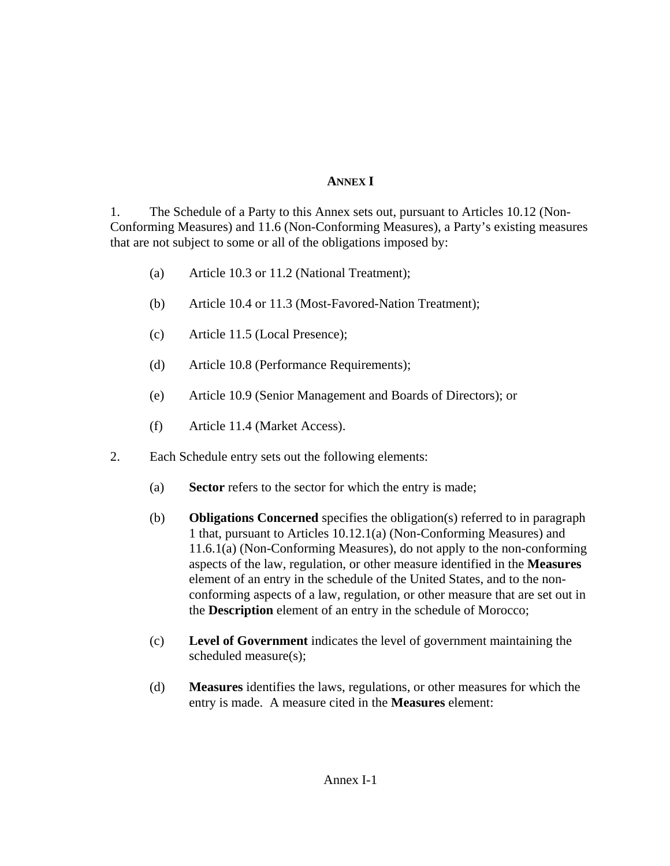## **ANNEX I**

1. The Schedule of a Party to this Annex sets out, pursuant to Articles 10.12 (Non-Conforming Measures) and 11.6 (Non-Conforming Measures), a Party's existing measures that are not subject to some or all of the obligations imposed by:

- (a) Article 10.3 or 11.2 (National Treatment);
- (b) Article 10.4 or 11.3 (Most-Favored-Nation Treatment);
- (c) Article 11.5 (Local Presence);
- (d) Article 10.8 (Performance Requirements);
- (e) Article 10.9 (Senior Management and Boards of Directors); or
- (f) Article 11.4 (Market Access).
- 2. Each Schedule entry sets out the following elements:
	- (a) **Sector** refers to the sector for which the entry is made;
	- (b) **Obligations Concerned** specifies the obligation(s) referred to in paragraph 1 that, pursuant to Articles 10.12.1(a) (Non-Conforming Measures) and 11.6.1(a) (Non-Conforming Measures), do not apply to the non-conforming aspects of the law, regulation, or other measure identified in the **Measures** element of an entry in the schedule of the United States, and to the nonconforming aspects of a law, regulation, or other measure that are set out in the **Description** element of an entry in the schedule of Morocco;
	- (c) **Level of Government** indicates the level of government maintaining the scheduled measure(s);
	- (d) **Measures** identifies the laws, regulations, or other measures for which the entry is made. A measure cited in the **Measures** element: